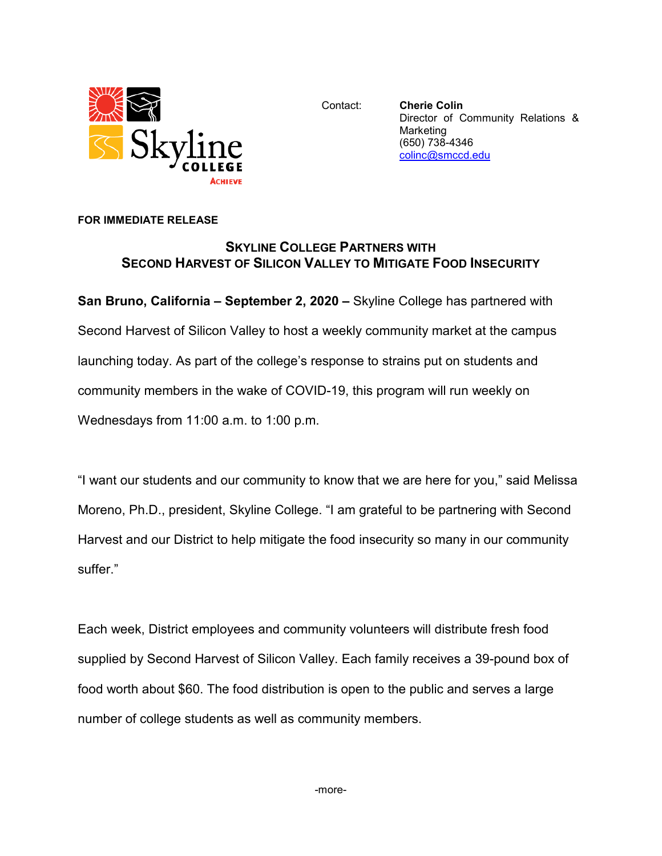

Contact: **Cherie Colin** Director of Community Relations & Marketing (650) 738-4346 [colinc@smccd.edu](mailto:colinc@smccd.edu)

## **FOR IMMEDIATE RELEASE**

## **SKYLINE COLLEGE PARTNERS WITH SECOND HARVEST OF SILICON VALLEY TO MITIGATE FOOD INSECURITY**

**San Bruno, California – September 2, 2020 –** Skyline College has partnered with Second Harvest of Silicon Valley to host a weekly community market at the campus launching today. As part of the college's response to strains put on students and community members in the wake of COVID-19, this program will run weekly on Wednesdays from 11:00 a.m. to 1:00 p.m.

"I want our students and our community to know that we are here for you," said Melissa Moreno, Ph.D., president, Skyline College. "I am grateful to be partnering with Second Harvest and our District to help mitigate the food insecurity so many in our community suffer."

Each week, District employees and community volunteers will distribute fresh food supplied by Second Harvest of Silicon Valley. Each family receives a 39-pound box of food worth about \$60. The food distribution is open to the public and serves a large number of college students as well as community members.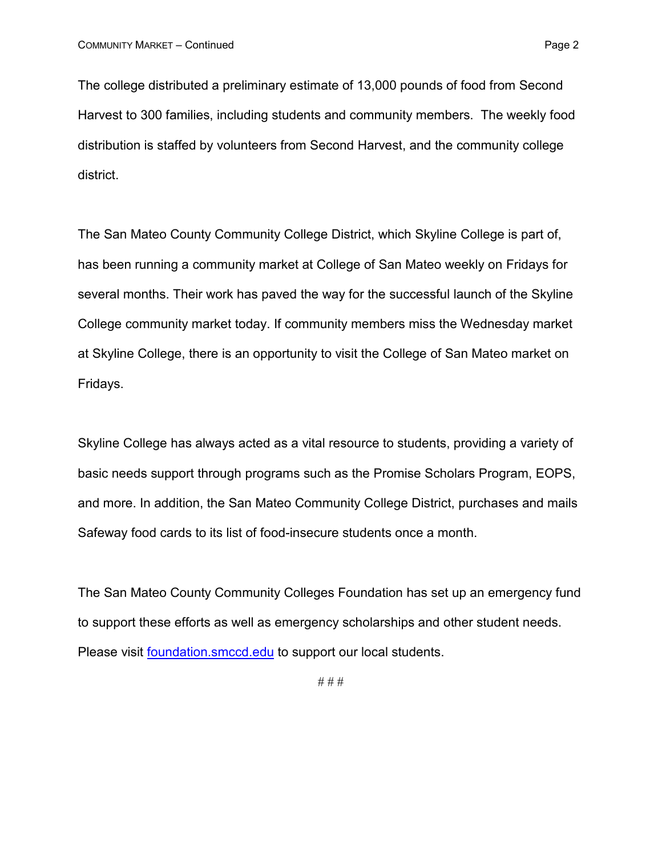The college distributed a preliminary estimate of 13,000 pounds of food from Second Harvest to 300 families, including students and community members. The weekly food distribution is staffed by volunteers from Second Harvest, and the community college district.

The San Mateo County Community College District, which Skyline College is part of, has been running a community market at College of San Mateo weekly on Fridays for several months. Their work has paved the way for the successful launch of the Skyline College community market today. If community members miss the Wednesday market at Skyline College, there is an opportunity to visit the College of San Mateo market on Fridays.

Skyline College has always acted as a vital resource to students, providing a variety of basic needs support through programs such as the Promise Scholars Program, EOPS, and more. In addition, the San Mateo Community College District, purchases and mails Safeway food cards to its list of food-insecure students once a month.

The San Mateo County Community Colleges Foundation has set up an emergency fund to support these efforts as well as emergency scholarships and other student needs. Please visit [foundation.smccd.edu](https://foundation.smccd.edu/) to support our local students.

# # #